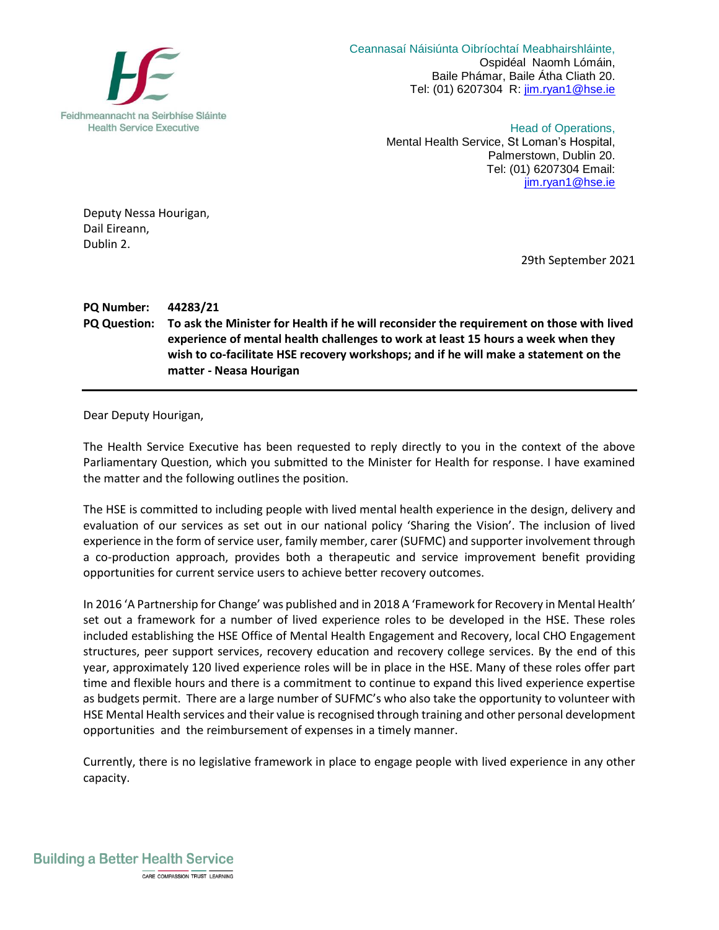

 Ceannasaí Náisiúnta Oibríochtaí Meabhairshláinte, Ospidéal Naomh Lómáin, Baile Phámar, Baile Átha Cliath 20. Tel: (01) 6207304 R: [jim.ryan1@hse.ie](mailto:jim.ryan1@hse.ie)

> Head of Operations, Mental Health Service, St Loman's Hospital, Palmerstown, Dublin 20. Tel: (01) 6207304 Email: [jim.ryan1@hse.ie](mailto:jim.ryan1@hse.ie)

Deputy Nessa Hourigan, Dail Eireann, Dublin 2.

29th September 2021

## **PQ Number: 44283/21 PQ Question: To ask the Minister for Health if he will reconsider the requirement on those with lived experience of mental health challenges to work at least 15 hours a week when they wish to co-facilitate HSE recovery workshops; and if he will make a statement on the matter - Neasa Hourigan**

Dear Deputy Hourigan,

The Health Service Executive has been requested to reply directly to you in the context of the above Parliamentary Question, which you submitted to the Minister for Health for response. I have examined the matter and the following outlines the position.

The HSE is committed to including people with lived mental health experience in the design, delivery and evaluation of our services as set out in our national policy 'Sharing the Vision'. The inclusion of lived experience in the form of service user, family member, carer (SUFMC) and supporter involvement through a co-production approach, provides both a therapeutic and service improvement benefit providing opportunities for current service users to achieve better recovery outcomes.

In 2016 'A Partnership for Change' was published and in 2018 A 'Framework for Recovery in Mental Health' set out a framework for a number of lived experience roles to be developed in the HSE. These roles included establishing the HSE Office of Mental Health Engagement and Recovery, local CHO Engagement structures, peer support services, recovery education and recovery college services. By the end of this year, approximately 120 lived experience roles will be in place in the HSE. Many of these roles offer part time and flexible hours and there is a commitment to continue to expand this lived experience expertise as budgets permit. There are a large number of SUFMC's who also take the opportunity to volunteer with HSE Mental Health services and their value is recognised through training and other personal development opportunities and the reimbursement of expenses in a timely manner.

Currently, there is no legislative framework in place to engage people with lived experience in any other capacity.